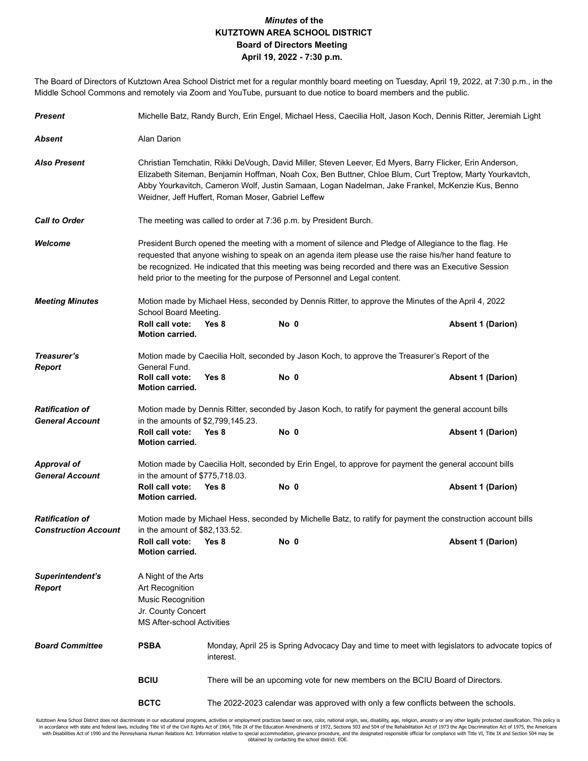## *Minutes* **of the KUTZTOWN AREA SCHOOL DISTRICT Board of Directors Meeting April 19, 2022 - 7:30 p.m.**

The Board of Directors of Kutztown Area School District met for a regular monthly board meeting on Tuesday, April 19, 2022, at 7:30 p.m., in the Middle School Commons and remotely via Zoom and YouTube, pursuant to due notice to board members and the public.

| <b>Present</b>                                        |                                                                                                                                                                                                                                                                                                                                                                                                   | Michelle Batz, Randy Burch, Erin Engel, Michael Hess, Caecilia Holt, Jason Koch, Dennis Ritter, Jeremiah Light |      |                                                                                                       |                          |  |  |  |
|-------------------------------------------------------|---------------------------------------------------------------------------------------------------------------------------------------------------------------------------------------------------------------------------------------------------------------------------------------------------------------------------------------------------------------------------------------------------|----------------------------------------------------------------------------------------------------------------|------|-------------------------------------------------------------------------------------------------------|--------------------------|--|--|--|
| Absent                                                | Alan Darion                                                                                                                                                                                                                                                                                                                                                                                       |                                                                                                                |      |                                                                                                       |                          |  |  |  |
| <b>Also Present</b>                                   | Christian Temchatin, Rikki DeVough, David Miller, Steven Leever, Ed Myers, Barry Flicker, Erin Anderson,<br>Elizabeth Siteman, Benjamin Hoffman, Noah Cox, Ben Buttner, Chloe Blum, Curt Treptow, Marty Yourkavtch,<br>Abby Yourkavitch, Cameron Wolf, Justin Samaan, Logan Nadelman, Jake Frankel, McKenzie Kus, Benno<br>Weidner, Jeff Huffert, Roman Moser, Gabriel Leffew                     |                                                                                                                |      |                                                                                                       |                          |  |  |  |
| <b>Call to Order</b>                                  | The meeting was called to order at 7:36 p.m. by President Burch.                                                                                                                                                                                                                                                                                                                                  |                                                                                                                |      |                                                                                                       |                          |  |  |  |
| Welcome                                               | President Burch opened the meeting with a moment of silence and Pledge of Allegiance to the flag. He<br>requested that anyone wishing to speak on an agenda item please use the raise his/her hand feature to<br>be recognized. He indicated that this meeting was being recorded and there was an Executive Session<br>held prior to the meeting for the purpose of Personnel and Legal content. |                                                                                                                |      |                                                                                                       |                          |  |  |  |
| <b>Meeting Minutes</b>                                | Motion made by Michael Hess, seconded by Dennis Ritter, to approve the Minutes of the April 4, 2022<br>School Board Meeting.                                                                                                                                                                                                                                                                      |                                                                                                                |      |                                                                                                       |                          |  |  |  |
|                                                       | Roll call vote:<br><b>Motion carried.</b>                                                                                                                                                                                                                                                                                                                                                         | Yes 8                                                                                                          | No 0 |                                                                                                       | <b>Absent 1 (Darion)</b> |  |  |  |
| Treasurer's                                           | Motion made by Caecilia Holt, seconded by Jason Koch, to approve the Treasurer's Report of the                                                                                                                                                                                                                                                                                                    |                                                                                                                |      |                                                                                                       |                          |  |  |  |
| <b>Report</b>                                         | General Fund.<br>Roll call vote:<br><b>Motion carried.</b>                                                                                                                                                                                                                                                                                                                                        | Yes 8                                                                                                          | No 0 |                                                                                                       | <b>Absent 1 (Darion)</b> |  |  |  |
| <b>Ratification of</b>                                |                                                                                                                                                                                                                                                                                                                                                                                                   |                                                                                                                |      | Motion made by Dennis Ritter, seconded by Jason Koch, to ratify for payment the general account bills |                          |  |  |  |
| <b>General Account</b>                                | in the amounts of \$2,799,145.23.<br>Roll call vote:                                                                                                                                                                                                                                                                                                                                              | Yes 8                                                                                                          | No 0 |                                                                                                       | <b>Absent 1 (Darion)</b> |  |  |  |
|                                                       | <b>Motion carried.</b>                                                                                                                                                                                                                                                                                                                                                                            |                                                                                                                |      |                                                                                                       |                          |  |  |  |
| <b>Approval of</b><br><b>General Account</b>          | Motion made by Caecilia Holt, seconded by Erin Engel, to approve for payment the general account bills<br>in the amount of \$775,718.03.                                                                                                                                                                                                                                                          |                                                                                                                |      |                                                                                                       |                          |  |  |  |
|                                                       | Roll call vote:<br><b>Motion carried.</b>                                                                                                                                                                                                                                                                                                                                                         | Yes 8                                                                                                          | No 0 |                                                                                                       | <b>Absent 1 (Darion)</b> |  |  |  |
| <b>Ratification of</b><br><b>Construction Account</b> | Motion made by Michael Hess, seconded by Michelle Batz, to ratify for payment the construction account bills<br>in the amount of \$82,133.52.                                                                                                                                                                                                                                                     |                                                                                                                |      |                                                                                                       |                          |  |  |  |
|                                                       | Roll call vote:<br><b>Motion carried.</b>                                                                                                                                                                                                                                                                                                                                                         | Yes 8                                                                                                          | No 0 |                                                                                                       | <b>Absent 1 (Darion)</b> |  |  |  |
| Superintendent's<br><b>Report</b>                     | A Night of the Arts<br>Art Recognition<br><b>Music Recognition</b><br>Jr. County Concert                                                                                                                                                                                                                                                                                                          |                                                                                                                |      |                                                                                                       |                          |  |  |  |
|                                                       | <b>MS After-school Activities</b>                                                                                                                                                                                                                                                                                                                                                                 |                                                                                                                |      |                                                                                                       |                          |  |  |  |
| <b>Board Committee</b>                                | <b>PSBA</b>                                                                                                                                                                                                                                                                                                                                                                                       | Monday, April 25 is Spring Advocacy Day and time to meet with legislators to advocate topics of<br>interest.   |      |                                                                                                       |                          |  |  |  |
|                                                       | <b>BCIU</b>                                                                                                                                                                                                                                                                                                                                                                                       | There will be an upcoming vote for new members on the BCIU Board of Directors.                                 |      |                                                                                                       |                          |  |  |  |
|                                                       | <b>BCTC</b>                                                                                                                                                                                                                                                                                                                                                                                       | The 2022-2023 calendar was approved with only a few conflicts between the schools.                             |      |                                                                                                       |                          |  |  |  |

Kutztown Area School District does not discriminate in our educational programs, activities or employment practices based on race, color, national origin, sex, disability, age, religion, ancestry or any other legally prote in accordance with state and federal laws, including Title VI of the Civil Rights Act of 1964, Title IX of the Education Amendments of 1972, Sections 503 and 504 of the Rehabilitation Act of 1973 the Age Discrimination Act obtained by contacting the school district. EOE.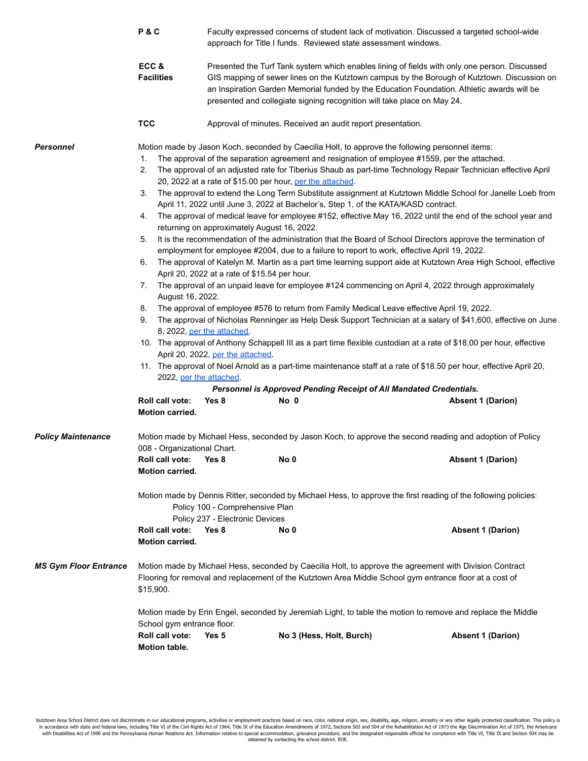|                              | P&C                                                                                                                                                                                                                                                                                                                                                                                                                                                                                                                                                                                                                                                                                                                                                                                                                                                                                                                                                                                                                                                                                                                                                                                                                                                                                                                                                                                                                                                                                                                                                                                                                                                                                                                                                                                                                                                                                                                                                                                                                                          | Faculty expressed concerns of student lack of motivation. Discussed a targeted school-wide<br>approach for Title I funds. Reviewed state assessment windows.<br>Presented the Turf Tank system which enables lining of fields with only one person. Discussed<br>GIS mapping of sewer lines on the Kutztown campus by the Borough of Kutztown. Discussion on<br>an Inspiration Garden Memorial funded by the Education Foundation. Athletic awards will be<br>presented and collegiate signing recognition will take place on May 24. |                                                             |                                                                                                                                                                                                                                                                                                                                       |                                                                                                                                       |  |
|------------------------------|----------------------------------------------------------------------------------------------------------------------------------------------------------------------------------------------------------------------------------------------------------------------------------------------------------------------------------------------------------------------------------------------------------------------------------------------------------------------------------------------------------------------------------------------------------------------------------------------------------------------------------------------------------------------------------------------------------------------------------------------------------------------------------------------------------------------------------------------------------------------------------------------------------------------------------------------------------------------------------------------------------------------------------------------------------------------------------------------------------------------------------------------------------------------------------------------------------------------------------------------------------------------------------------------------------------------------------------------------------------------------------------------------------------------------------------------------------------------------------------------------------------------------------------------------------------------------------------------------------------------------------------------------------------------------------------------------------------------------------------------------------------------------------------------------------------------------------------------------------------------------------------------------------------------------------------------------------------------------------------------------------------------------------------------|---------------------------------------------------------------------------------------------------------------------------------------------------------------------------------------------------------------------------------------------------------------------------------------------------------------------------------------------------------------------------------------------------------------------------------------------------------------------------------------------------------------------------------------|-------------------------------------------------------------|---------------------------------------------------------------------------------------------------------------------------------------------------------------------------------------------------------------------------------------------------------------------------------------------------------------------------------------|---------------------------------------------------------------------------------------------------------------------------------------|--|
|                              | ECC&<br><b>Facilities</b>                                                                                                                                                                                                                                                                                                                                                                                                                                                                                                                                                                                                                                                                                                                                                                                                                                                                                                                                                                                                                                                                                                                                                                                                                                                                                                                                                                                                                                                                                                                                                                                                                                                                                                                                                                                                                                                                                                                                                                                                                    |                                                                                                                                                                                                                                                                                                                                                                                                                                                                                                                                       |                                                             |                                                                                                                                                                                                                                                                                                                                       |                                                                                                                                       |  |
|                              | <b>TCC</b>                                                                                                                                                                                                                                                                                                                                                                                                                                                                                                                                                                                                                                                                                                                                                                                                                                                                                                                                                                                                                                                                                                                                                                                                                                                                                                                                                                                                                                                                                                                                                                                                                                                                                                                                                                                                                                                                                                                                                                                                                                   |                                                                                                                                                                                                                                                                                                                                                                                                                                                                                                                                       | Approval of minutes. Received an audit report presentation. |                                                                                                                                                                                                                                                                                                                                       |                                                                                                                                       |  |
| Personnel                    | Motion made by Jason Koch, seconded by Caecilia Holt, to approve the following personnel items:<br>The approval of the separation agreement and resignation of employee #1559, per the attached.<br>1.<br>The approval of an adjusted rate for Tiberius Shaub as part-time Technology Repair Technician effective April<br>2.<br>20, 2022 at a rate of \$15.00 per hour, per the attached.<br>3.<br>The approval to extend the Long Term Substitute assignment at Kutztown Middle School for Janelle Loeb from<br>April 11, 2022 until June 3, 2022 at Bachelor's, Step 1, of the KATA/KASD contract.<br>The approval of medical leave for employee #152, effective May 16, 2022 until the end of the school year and<br>4.<br>returning on approximately August 16, 2022.<br>5.<br>It is the recommendation of the administration that the Board of School Directors approve the termination of<br>employment for employee #2004, due to a failure to report to work, effective April 19, 2022.<br>The approval of Katelyn M. Martin as a part time learning support aide at Kutztown Area High School, effective<br>6.<br>April 20, 2022 at a rate of \$15.54 per hour.<br>The approval of an unpaid leave for employee #124 commencing on April 4, 2022 through approximately<br>7.<br>August 16, 2022.<br>The approval of employee #576 to return from Family Medical Leave effective April 19, 2022.<br>8.<br>The approval of Nicholas Renninger as Help Desk Support Technician at a salary of \$41,600, effective on June<br>9.<br>8, 2022, per the attached.<br>10. The approval of Anthony Schappell III as a part time flexible custodian at a rate of \$18.00 per hour, effective<br>April 20, 2022, per the attached.<br>11. The approval of Noel Arnold as a part-time maintenance staff at a rate of \$18.50 per hour, effective April 20,<br>2022, per the attached.<br>Personnel is Approved Pending Receipt of All Mandated Credentials.<br>Roll call vote:<br>Yes 8<br>No 0<br><b>Absent 1 (Darion)</b><br>Motion carried. |                                                                                                                                                                                                                                                                                                                                                                                                                                                                                                                                       |                                                             |                                                                                                                                                                                                                                                                                                                                       |                                                                                                                                       |  |
| <b>Policy Maintenance</b>    | 008 - Organizational Chart.<br>Roll call vote:                                                                                                                                                                                                                                                                                                                                                                                                                                                                                                                                                                                                                                                                                                                                                                                                                                                                                                                                                                                                                                                                                                                                                                                                                                                                                                                                                                                                                                                                                                                                                                                                                                                                                                                                                                                                                                                                                                                                                                                               | Yes 8                                                                                                                                                                                                                                                                                                                                                                                                                                                                                                                                 | No 0                                                        |                                                                                                                                                                                                                                                                                                                                       | Motion made by Michael Hess, seconded by Jason Koch, to approve the second reading and adoption of Policy<br><b>Absent 1 (Darion)</b> |  |
| <b>MS Gym Floor Entrance</b> | <b>Motion carried.</b><br>Roll call vote:<br><b>Motion carried.</b><br>\$15,900.                                                                                                                                                                                                                                                                                                                                                                                                                                                                                                                                                                                                                                                                                                                                                                                                                                                                                                                                                                                                                                                                                                                                                                                                                                                                                                                                                                                                                                                                                                                                                                                                                                                                                                                                                                                                                                                                                                                                                             | Policy 100 - Comprehensive Plan<br>Policy 237 - Electronic Devices<br>Yes <sub>8</sub>                                                                                                                                                                                                                                                                                                                                                                                                                                                | No 0                                                        | Motion made by Dennis Ritter, seconded by Michael Hess, to approve the first reading of the following policies:<br>Motion made by Michael Hess, seconded by Caecilia Holt, to approve the agreement with Division Contract<br>Flooring for removal and replacement of the Kutztown Area Middle School gym entrance floor at a cost of | <b>Absent 1 (Darion)</b>                                                                                                              |  |
|                              | School gym entrance floor.<br>Roll call vote:<br>Motion table.                                                                                                                                                                                                                                                                                                                                                                                                                                                                                                                                                                                                                                                                                                                                                                                                                                                                                                                                                                                                                                                                                                                                                                                                                                                                                                                                                                                                                                                                                                                                                                                                                                                                                                                                                                                                                                                                                                                                                                               | Yes 5                                                                                                                                                                                                                                                                                                                                                                                                                                                                                                                                 | No 3 (Hess, Holt, Burch)                                    | Motion made by Erin Engel, seconded by Jeremiah Light, to table the motion to remove and replace the Middle                                                                                                                                                                                                                           | <b>Absent 1 (Darion)</b>                                                                                                              |  |

Kutztown Area School District does not discriminate in our educational programs, activities or employment practices based on race, color, national origin, sex, disability, age, religion, ancestry or any other legally prote